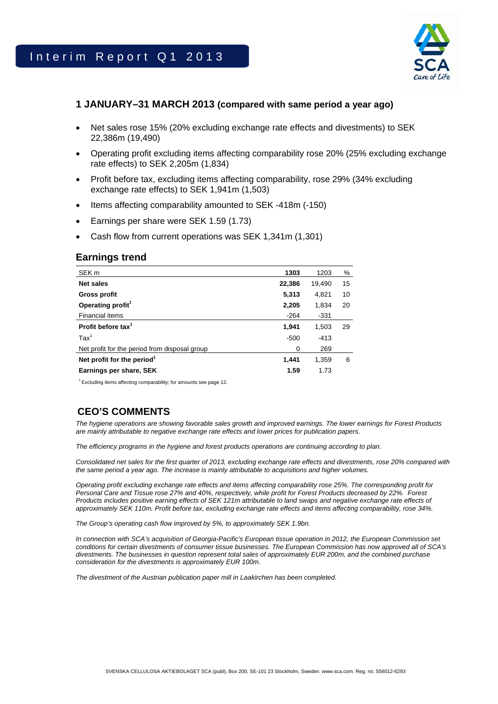

## **1 JANUARY–31 MARCH 2013 (compared with same period a year ago)**

- Net sales rose 15% (20% excluding exchange rate effects and divestments) to SEK 22,386m (19,490)
- Operating profit excluding items affecting comparability rose 20% (25% excluding exchange rate effects) to SEK 2,205m (1,834)
- Profit before tax, excluding items affecting comparability, rose 29% (34% excluding exchange rate effects) to SEK 1,941m (1,503)
- Items affecting comparability amounted to SEK -418m (-150)
- Earnings per share were SEK 1.59 (1.73)
- Cash flow from current operations was SEK 1,341m (1,301)

## **Earnings trend**

| SEK <sub>m</sub>                              | 1303   | 1203   | %  |
|-----------------------------------------------|--------|--------|----|
| Net sales                                     | 22,386 | 19,490 | 15 |
| <b>Gross profit</b>                           | 5,313  | 4,821  | 10 |
| Operating profit <sup>1</sup>                 | 2,205  | 1,834  | 20 |
| <b>Financial items</b>                        | $-264$ | $-331$ |    |
| Profit before tax $1$                         | 1.941  | 1,503  | 29 |
| $\text{Tax}^1$                                | $-500$ | $-413$ |    |
| Net profit for the period from disposal group | 0      | 269    |    |
| Net profit for the period <sup>1</sup>        | 1.441  | 1,359  | 6  |
| Earnings per share, SEK                       | 1.59   | 1.73   |    |

<sup>1</sup> Excluding items affecting comparability; for amounts see page 12.

# **CEO'S COMMENTS**

*The hygiene operations are showing favorable sales growth and improved earnings. The lower earnings for Forest Products are mainly attributable to negative exchange rate effects and lower prices for publication papers.* 

*The efficiency programs in the hygiene and forest products operations are continuing according to plan.* 

*Consolidated net sales for the first quarter of 2013, excluding exchange rate effects and divestments, rose 20% compared with the same period a year ago. The increase is mainly attributable to acquisitions and higher volumes.* 

*Operating profit excluding exchange rate effects and items affecting comparability rose 25%. The corresponding profit for Personal Care and Tissue rose 27% and 40%, respectively, while profit for Forest Products decreased by 22%. Forest Products includes positive earning effects of SEK 121m attributable to land swaps and negative exchange rate effects of approximately SEK 110m. Profit before tax, excluding exchange rate effects and items affecting comparability, rose 34%.* 

*The Group's operating cash flow improved by 5%, to approximately SEK 1.9bn.* 

*In connection with SCA's acquisition of Georgia-Pacific's European tissue operation in 2012, the European Commission set conditions for certain divestments of consumer tissue businesses. The European Commission has now approved all of SCA's divestments. The businesses in question represent total sales of approximately EUR 200m, and the combined purchase consideration for the divestments is approximately EUR 100m.* 

*The divestment of the Austrian publication paper mill in Laakirchen has been completed.*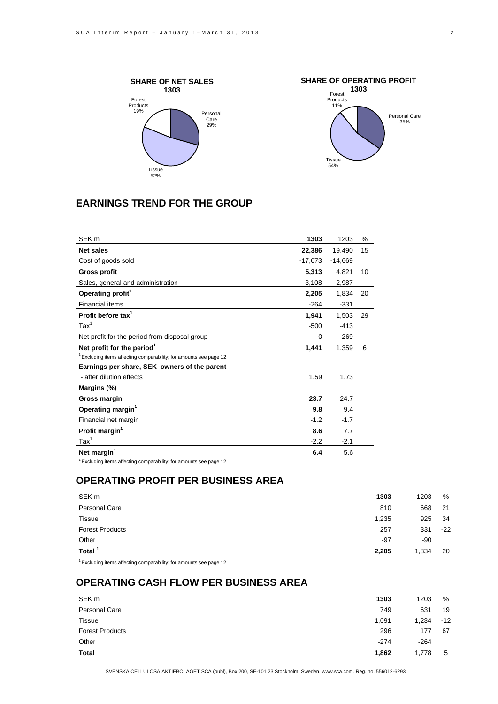



## **EARNINGS TREND FOR THE GROUP**

| SEK <sub>m</sub>                                                               | 1303      | 1203      | ℅  |
|--------------------------------------------------------------------------------|-----------|-----------|----|
| <b>Net sales</b>                                                               | 22,386    | 19,490    | 15 |
| Cost of goods sold                                                             | $-17,073$ | $-14,669$ |    |
| <b>Gross profit</b>                                                            | 5,313     | 4,821     | 10 |
| Sales, general and administration                                              | $-3,108$  | $-2,987$  |    |
| Operating profit <sup>1</sup>                                                  | 2,205     | 1,834     | 20 |
| <b>Financial items</b>                                                         | $-264$    | $-331$    |    |
| Profit before tax <sup>1</sup>                                                 | 1,941     | 1,503     | 29 |
| $\text{Tax}^1$                                                                 | $-500$    | $-413$    |    |
| Net profit for the period from disposal group                                  | 0         | 269       |    |
| Net profit for the period <sup>1</sup>                                         | 1,441     | 1,359     | 6  |
| $1$ Excluding items affecting comparability; for amounts see page 12.          |           |           |    |
| Earnings per share, SEK owners of the parent                                   |           |           |    |
| - after dilution effects                                                       | 1.59      | 1.73      |    |
| Margins (%)                                                                    |           |           |    |
| Gross margin                                                                   | 23.7      | 24.7      |    |
| Operating margin <sup>1</sup>                                                  | 9.8       | 9.4       |    |
| Financial net margin                                                           | $-1.2$    | $-1.7$    |    |
| Profit margin <sup>1</sup>                                                     | 8.6       | 7.7       |    |
| $\text{Tax}^1$                                                                 | $-2.2$    | $-2.1$    |    |
| Net margin <sup>1</sup>                                                        | 6.4       | 5.6       |    |
| <sup>1</sup> Excluding items affecting comparability; for amounts see page 12. |           |           |    |

## **OPERATING PROFIT PER BUSINESS AREA**

| SEK <sub>m</sub>       | 1303  | 1203  | %     |
|------------------------|-------|-------|-------|
| Personal Care          | 810   | 668   | 21    |
| Tissue                 | 1,235 | 925   | 34    |
| <b>Forest Products</b> | 257   | 331   | $-22$ |
| Other                  | -97   | -90   |       |
| Total $1$              | 2,205 | 1,834 | 20    |

 $1$  Excluding items affecting comparability; for amounts see page 12.

## **OPERATING CASH FLOW PER BUSINESS AREA**

| SEK <sub>m</sub>       | 1303   | 1203   | %     |
|------------------------|--------|--------|-------|
| Personal Care          | 749    | 631    | 19    |
| Tissue                 | 1,091  | 1,234  | $-12$ |
| <b>Forest Products</b> | 296    | 177    | 67    |
| Other                  | $-274$ | $-264$ |       |
| Total                  | 1,862  | 1,778  | 5     |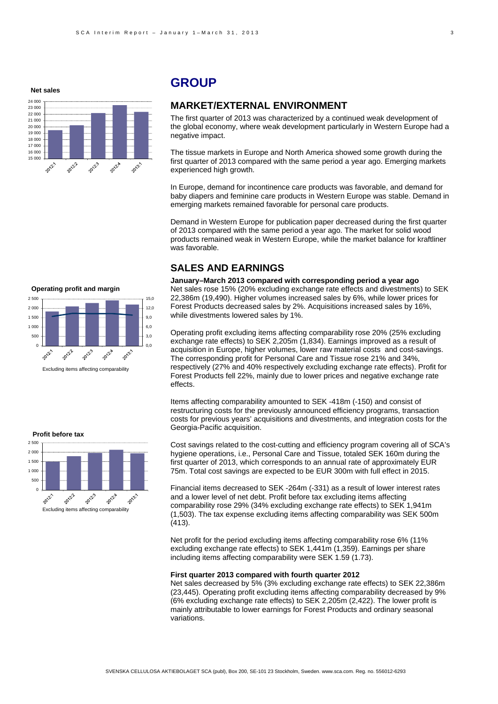**Net sales**



## **GROUP**

### **MARKET/EXTERNAL ENVIRONMENT**

The first quarter of 2013 was characterized by a continued weak development of the global economy, where weak development particularly in Western Europe had a negative impact.

The tissue markets in Europe and North America showed some growth during the first quarter of 2013 compared with the same period a year ago. Emerging markets experienced high growth.

In Europe, demand for incontinence care products was favorable, and demand for baby diapers and feminine care products in Western Europe was stable. Demand in emerging markets remained favorable for personal care products.

Demand in Western Europe for publication paper decreased during the first quarter of 2013 compared with the same period a year ago. The market for solid wood products remained weak in Western Europe, while the market balance for kraftliner was favorable.

### **SALES AND EARNINGS**

**January–March 2013 compared with corresponding period a year ago**  Net sales rose 15% (20% excluding exchange rate effects and divestments) to SEK 22,386m (19,490). Higher volumes increased sales by 6%, while lower prices for Forest Products decreased sales by 2%. Acquisitions increased sales by 16%, while divestments lowered sales by 1%.

Operating profit excluding items affecting comparability rose 20% (25% excluding exchange rate effects) to SEK 2,205m (1,834). Earnings improved as a result of acquisition in Europe, higher volumes, lower raw material costs and cost-savings. The corresponding profit for Personal Care and Tissue rose 21% and 34%, respectively (27% and 40% respectively excluding exchange rate effects). Profit for Forest Products fell 22%, mainly due to lower prices and negative exchange rate effects.

Items affecting comparability amounted to SEK -418m (-150) and consist of restructuring costs for the previously announced efficiency programs, transaction costs for previous years' acquisitions and divestments, and integration costs for the Georgia-Pacific acquisition.

Cost savings related to the cost-cutting and efficiency program covering all of SCA's hygiene operations, i.e., Personal Care and Tissue, totaled SEK 160m during the first quarter of 2013, which corresponds to an annual rate of approximately EUR 75m. Total cost savings are expected to be EUR 300m with full effect in 2015.

Financial items decreased to SEK -264m (-331) as a result of lower interest rates and a lower level of net debt. Profit before tax excluding items affecting comparability rose 29% (34% excluding exchange rate effects) to SEK 1,941m (1,503). The tax expense excluding items affecting comparability was SEK 500m (413).

Net profit for the period excluding items affecting comparability rose 6% (11% excluding exchange rate effects) to SEK 1,441m (1,359). Earnings per share including items affecting comparability were SEK 1.59 (1.73).

#### **First quarter 2013 compared with fourth quarter 2012**

Net sales decreased by 5% (3% excluding exchange rate effects) to SEK 22,386m (23,445). Operating profit excluding items affecting comparability decreased by 9% (6% excluding exchange rate effects) to SEK 2,205m (2,422). The lower profit is mainly attributable to lower earnings for Forest Products and ordinary seasonal variations.



#### **Profit before tax**

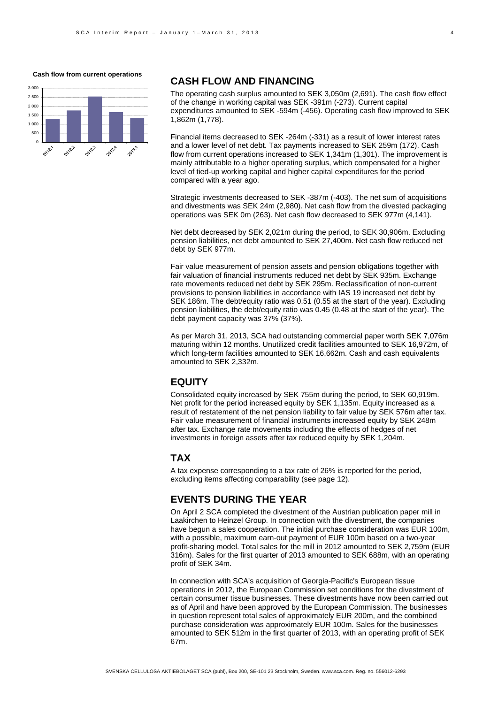#### **Cash flow from current operations**



### **CASH FLOW AND FINANCING**

The operating cash surplus amounted to SEK 3,050m (2,691). The cash flow effect of the change in working capital was SEK -391m (-273). Current capital expenditures amounted to SEK -594m (-456). Operating cash flow improved to SEK 1,862m (1,778).

Financial items decreased to SEK -264m (-331) as a result of lower interest rates and a lower level of net debt. Tax payments increased to SEK 259m (172). Cash flow from current operations increased to SEK 1,341m (1,301). The improvement is mainly attributable to a higher operating surplus, which compensated for a higher level of tied-up working capital and higher capital expenditures for the period compared with a year ago.

Strategic investments decreased to SEK -387m (-403). The net sum of acquisitions and divestments was SEK 24m (2,980). Net cash flow from the divested packaging operations was SEK 0m (263). Net cash flow decreased to SEK 977m (4,141).

Net debt decreased by SEK 2,021m during the period, to SEK 30,906m. Excluding pension liabilities, net debt amounted to SEK 27,400m. Net cash flow reduced net debt by SEK 977m.

Fair value measurement of pension assets and pension obligations together with fair valuation of financial instruments reduced net debt by SEK 935m. Exchange rate movements reduced net debt by SEK 295m. Reclassification of non-current provisions to pension liabilities in accordance with IAS 19 increased net debt by SEK 186m. The debt/equity ratio was 0.51 (0.55 at the start of the year). Excluding pension liabilities, the debt/equity ratio was 0.45 (0.48 at the start of the year). The debt payment capacity was 37% (37%).

As per March 31, 2013, SCA had outstanding commercial paper worth SEK 7,076m maturing within 12 months. Unutilized credit facilities amounted to SEK 16,972m, of which long-term facilities amounted to SEK 16,662m. Cash and cash equivalents amounted to SEK 2,332m.

## **EQUITY**

Consolidated equity increased by SEK 755m during the period, to SEK 60,919m. Net profit for the period increased equity by SEK 1,135m. Equity increased as a result of restatement of the net pension liability to fair value by SEK 576m after tax. Fair value measurement of financial instruments increased equity by SEK 248m after tax. Exchange rate movements including the effects of hedges of net investments in foreign assets after tax reduced equity by SEK 1,204m.

### **TAX**

A tax expense corresponding to a tax rate of 26% is reported for the period, excluding items affecting comparability (see page 12).

### **EVENTS DURING THE YEAR**

On April 2 SCA completed the divestment of the Austrian publication paper mill in Laakirchen to Heinzel Group. In connection with the divestment, the companies have begun a sales cooperation. The initial purchase consideration was EUR 100m, with a possible, maximum earn-out payment of EUR 100m based on a two-year profit-sharing model. Total sales for the mill in 2012 amounted to SEK 2,759m (EUR 316m). Sales for the first quarter of 2013 amounted to SEK 688m, with an operating profit of SEK 34m.

In connection with SCA's acquisition of Georgia-Pacific's European tissue operations in 2012, the European Commission set conditions for the divestment of certain consumer tissue businesses. These divestments have now been carried out as of April and have been approved by the European Commission. The businesses in question represent total sales of approximately EUR 200m, and the combined purchase consideration was approximately EUR 100m. Sales for the businesses amounted to SEK 512m in the first quarter of 2013, with an operating profit of SEK 67m.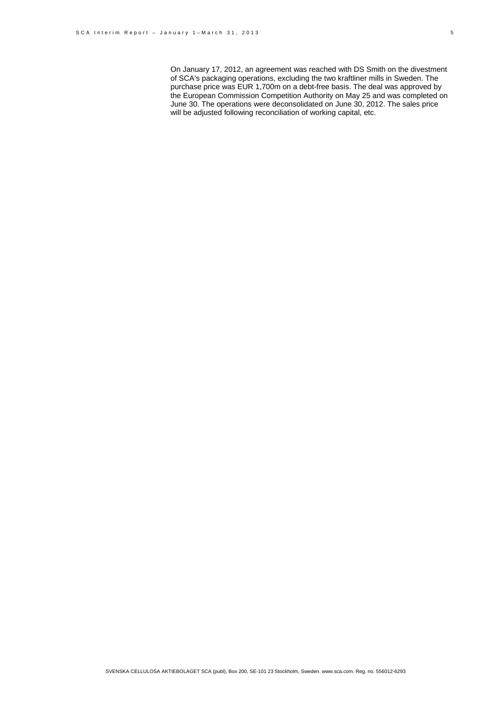On January 17, 2012, an agreement was reached with DS Smith on the divestment of SCA's packaging operations, excluding the two kraftliner mills in Sweden. The purchase price was EUR 1,700m on a debt-free basis. The deal was approved by the European Commission Competition Authority on May 25 and was completed on June 30. The operations were deconsolidated on June 30, 2012. The sales price will be adjusted following reconciliation of working capital, etc.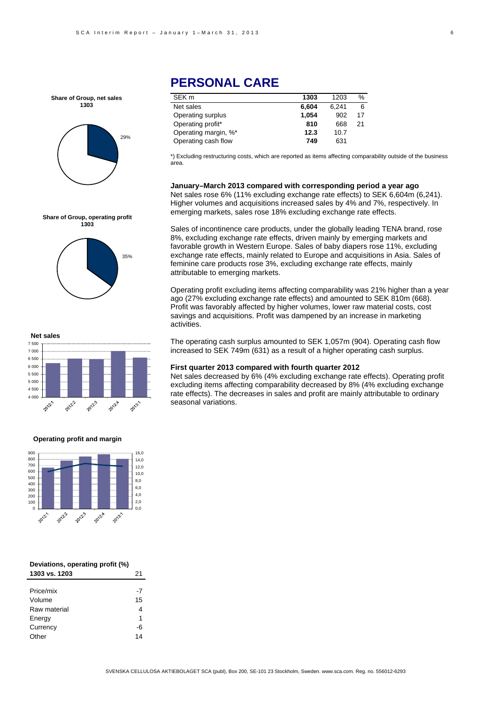**Share of Group, net sales 1303**



# **PERSONAL CARE**

| 1303  | 1203  | ℅  |
|-------|-------|----|
| 6.604 | 6.241 | 6  |
| 1.054 | 902   | 17 |
| 810   | 668   | 21 |
| 12.3  | 10.7  |    |
| 749   | 631   |    |
|       |       |    |

\*) Excluding restructuring costs, which are reported as items affecting comparability outside of the business area.

**January–March 2013 compared with corresponding period a year ago**  Net sales rose 6% (11% excluding exchange rate effects) to SEK 6,604m (6,241). Higher volumes and acquisitions increased sales by 4% and 7%, respectively. In emerging markets, sales rose 18% excluding exchange rate effects.

Sales of incontinence care products, under the globally leading TENA brand, rose 8%, excluding exchange rate effects, driven mainly by emerging markets and favorable growth in Western Europe. Sales of baby diapers rose 11%, excluding exchange rate effects, mainly related to Europe and acquisitions in Asia. Sales of feminine care products rose 3%, excluding exchange rate effects, mainly attributable to emerging markets.

Operating profit excluding items affecting comparability was 21% higher than a year ago (27% excluding exchange rate effects) and amounted to SEK 810m (668). Profit was favorably affected by higher volumes, lower raw material costs, cost savings and acquisitions. Profit was dampened by an increase in marketing activities.

The operating cash surplus amounted to SEK 1,057m (904). Operating cash flow increased to SEK 749m (631) as a result of a higher operating cash surplus.

#### **First quarter 2013 compared with fourth quarter 2012**

Net sales decreased by 6% (4% excluding exchange rate effects). Operating profit excluding items affecting comparability decreased by 8% (4% excluding exchange rate effects). The decreases in sales and profit are mainly attributable to ordinary seasonal variations.

**Share of Group, operating profit 1303**





#### **Operating profit and margin**



| Deviations, operating profit (%) |    |
|----------------------------------|----|
| 1303 vs. 1203                    | 21 |
|                                  |    |
| Price/mix                        | -7 |
| Volume                           | 15 |
| Raw material                     | 4  |
| Energy                           | 1  |
| Currency                         | -6 |
| )ther                            |    |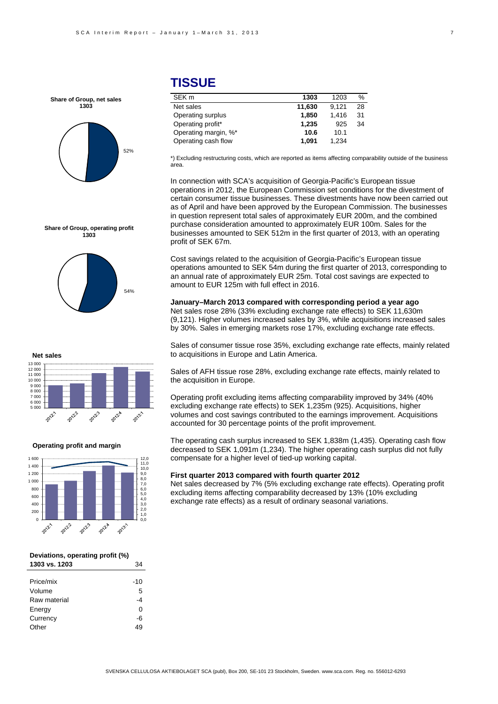

# **TISSUE**

| SEK <sub>m</sub>     | 1303   | 1203  | ℅  |
|----------------------|--------|-------|----|
| Net sales            | 11,630 | 9.121 | 28 |
| Operating surplus    | 1.850  | 1.416 | 31 |
| Operating profit*    | 1,235  | 925   | 34 |
| Operating margin, %* | 10.6   | 10.1  |    |
| Operating cash flow  | 1.091  | 1.234 |    |

\*) Excluding restructuring costs, which are reported as items affecting comparability outside of the business area.

In connection with SCA's acquisition of Georgia-Pacific's European tissue operations in 2012, the European Commission set conditions for the divestment of certain consumer tissue businesses. These divestments have now been carried out as of April and have been approved by the European Commission. The businesses in question represent total sales of approximately EUR 200m, and the combined purchase consideration amounted to approximately EUR 100m. Sales for the businesses amounted to SEK 512m in the first quarter of 2013, with an operating profit of SEK 67m.

Cost savings related to the acquisition of Georgia-Pacific's European tissue operations amounted to SEK 54m during the first quarter of 2013, corresponding to an annual rate of approximately EUR 25m. Total cost savings are expected to amount to EUR 125m with full effect in 2016.

**January–March 2013 compared with corresponding period a year ago**  Net sales rose 28% (33% excluding exchange rate effects) to SEK 11,630m (9,121). Higher volumes increased sales by 3%, while acquisitions increased sales by 30%. Sales in emerging markets rose 17%, excluding exchange rate effects.

Sales of consumer tissue rose 35%, excluding exchange rate effects, mainly related to acquisitions in Europe and Latin America.

Sales of AFH tissue rose 28%, excluding exchange rate effects, mainly related to the acquisition in Europe.

Operating profit excluding items affecting comparability improved by 34% (40% excluding exchange rate effects) to SEK 1,235m (925). Acquisitions, higher volumes and cost savings contributed to the earnings improvement. Acquisitions accounted for 30 percentage points of the profit improvement.

The operating cash surplus increased to SEK 1,838m (1,435). Operating cash flow decreased to SEK 1,091m (1,234). The higher operating cash surplus did not fully compensate for a higher level of tied-up working capital.

### **First quarter 2013 compared with fourth quarter 2012**

Net sales decreased by 7% (5% excluding exchange rate effects). Operating profit excluding items affecting comparability decreased by 13% (10% excluding exchange rate effects) as a result of ordinary seasonal variations.





### **Net sales**



#### **Operating profit and margin**



#### **Deviations, operating profit (%) 1303 vs. 1203** 34

| נטאו נטעו    | ◡∸    |
|--------------|-------|
|              |       |
| Price/mix    | $-10$ |
| Volume       | 5     |
| Raw material | -4    |
| Energy       | 0     |
| Currency     | -6    |
| Other        | 49    |
|              |       |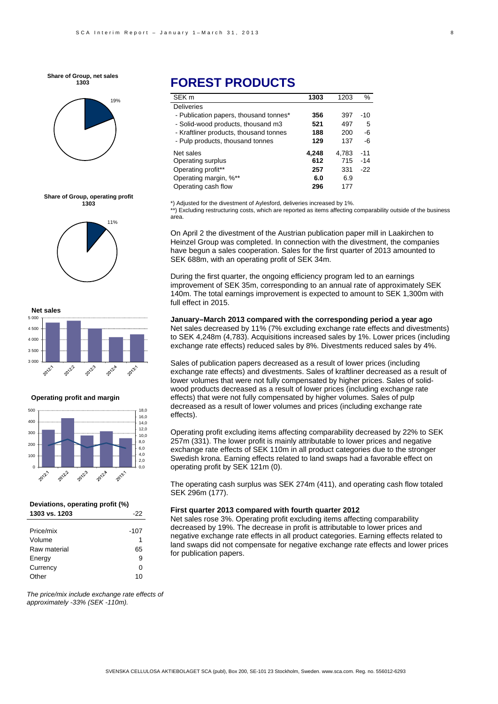**Share of Group, net sales 1303**









#### **Operating profit and margin**



#### **Deviations, operating profit (%) 1303 vs. 1203** -22

| Price/mix    | $-107$ |
|--------------|--------|
| Volume       | 1      |
| Raw material | 65     |
| Energy       | 9      |
| Currency     | ŋ      |
| Other        | 10     |

# **FOREST PRODUCTS**

| SEK <sub>m</sub>                       | 1303  | 1203  | $\%$  |
|----------------------------------------|-------|-------|-------|
| <b>Deliveries</b>                      |       |       |       |
| - Publication papers, thousand tonnes* | 356   | 397   | $-10$ |
| - Solid-wood products, thousand m3     | 521   | 497   | 5     |
| - Kraftliner products, thousand tonnes | 188   | 200   | -6    |
| - Pulp products, thousand tonnes       | 129   | 137   | -6    |
| Net sales                              | 4,248 | 4.783 | $-11$ |
| Operating surplus                      | 612   | 715   | $-14$ |
| Operating profit**                     | 257   | 331   | $-22$ |
| Operating margin, %**                  | 6.0   | 6.9   |       |
| Operating cash flow                    | 296   | 177   |       |

\*) Adjusted for the divestment of Aylesford, deliveries increased by 1%. \*\*) Excluding restructuring costs, which are reported as items affecting comparability outside of the business area.

On April 2 the divestment of the Austrian publication paper mill in Laakirchen to Heinzel Group was completed. In connection with the divestment, the companies have begun a sales cooperation. Sales for the first quarter of 2013 amounted to SEK 688m, with an operating profit of SEK 34m.

During the first quarter, the ongoing efficiency program led to an earnings improvement of SEK 35m, corresponding to an annual rate of approximately SEK 140m. The total earnings improvement is expected to amount to SEK 1,300m with full effect in 2015.

### **January–March 2013 compared with the corresponding period a year ago**

Net sales decreased by 11% (7% excluding exchange rate effects and divestments) to SEK 4,248m (4,783). Acquisitions increased sales by 1%. Lower prices (including exchange rate effects) reduced sales by 8%. Divestments reduced sales by 4%.

Sales of publication papers decreased as a result of lower prices (including exchange rate effects) and divestments. Sales of kraftliner decreased as a result of lower volumes that were not fully compensated by higher prices. Sales of solidwood products decreased as a result of lower prices (including exchange rate effects) that were not fully compensated by higher volumes. Sales of pulp decreased as a result of lower volumes and prices (including exchange rate effects).

Operating profit excluding items affecting comparability decreased by 22% to SEK 257m (331). The lower profit is mainly attributable to lower prices and negative exchange rate effects of SEK 110m in all product categories due to the stronger Swedish krona. Earning effects related to land swaps had a favorable effect on operating profit by SEK 121m (0).

The operating cash surplus was SEK 274m (411), and operating cash flow totaled SEK 296m (177).

#### **First quarter 2013 compared with fourth quarter 2012**

Net sales rose 3%. Operating profit excluding items affecting comparability decreased by 19%. The decrease in profit is attributable to lower prices and negative exchange rate effects in all product categories. Earning effects related to land swaps did not compensate for negative exchange rate effects and lower prices for publication papers.

*The price/mix include exchange rate effects of approximately -33% (SEK -110m).*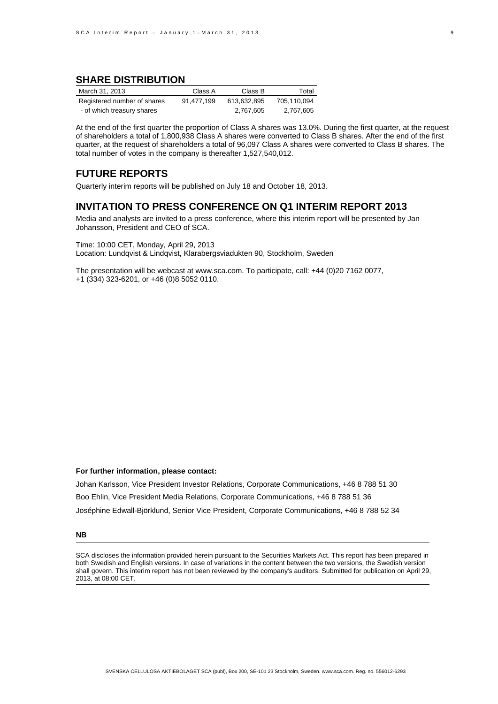### **SHARE DISTRIBUTION**

| March 31, 2013              | Class A    | Class B     | Total       |
|-----------------------------|------------|-------------|-------------|
| Registered number of shares | 91.477.199 | 613.632.895 | 705.110.094 |
| - of which treasury shares  |            | 2.767.605   | 2,767,605   |

At the end of the first quarter the proportion of Class A shares was 13.0%. During the first quarter, at the request of shareholders a total of 1,800,938 Class A shares were converted to Class B shares. After the end of the first quarter, at the request of shareholders a total of 96,097 Class A shares were converted to Class B shares. The total number of votes in the company is thereafter 1,527,540,012.

### **FUTURE REPORTS**

Quarterly interim reports will be published on July 18 and October 18, 2013.

### **INVITATION TO PRESS CONFERENCE ON Q1 INTERIM REPORT 2013**

Media and analysts are invited to a press conference, where this interim report will be presented by Jan Johansson, President and CEO of SCA.

Time: 10:00 CET, Monday, April 29, 2013 Location: Lundqvist & Lindqvist, Klarabergsviadukten 90, Stockholm, Sweden

The presentation will be webcast at www.sca.com. To participate, call: +44 (0)20 7162 0077, +1 (334) 323-6201, or +46 (0)8 5052 0110.

### **For further information, please contact:**

Johan Karlsson, Vice President Investor Relations, Corporate Communications, +46 8 788 51 30 Boo Ehlin, Vice President Media Relations, Corporate Communications, +46 8 788 51 36 Joséphine Edwall-Björklund, Senior Vice President, Corporate Communications, +46 8 788 52 34

#### **NB**

SCA discloses the information provided herein pursuant to the Securities Markets Act. This report has been prepared in both Swedish and English versions. In case of variations in the content between the two versions, the Swedish version shall govern. This interim report has not been reviewed by the company's auditors. Submitted for publication on April 29, 2013, at 08:00 CET.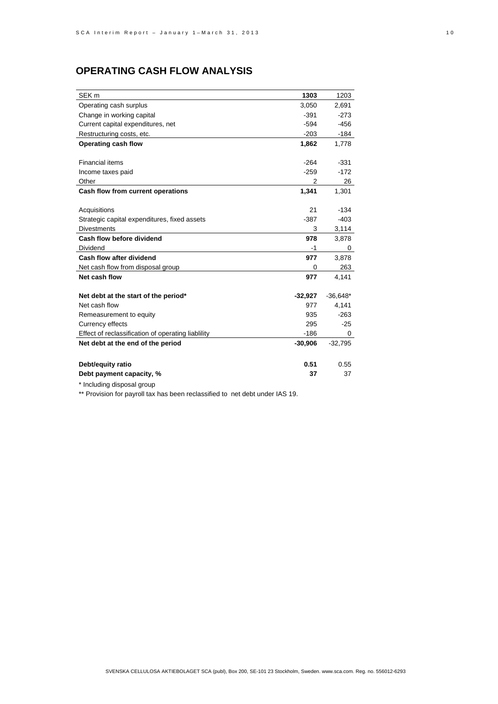# **OPERATING CASH FLOW ANALYSIS**

| SEK <sub>m</sub>                                   | 1303      | 1203       |
|----------------------------------------------------|-----------|------------|
| Operating cash surplus                             | 3,050     | 2,691      |
| Change in working capital                          | $-391$    | $-273$     |
| Current capital expenditures, net                  | $-594$    | $-456$     |
| Restructuring costs, etc.                          | $-203$    | -184       |
| Operating cash flow                                | 1,862     | 1.778      |
|                                                    |           |            |
| <b>Financial items</b>                             | $-264$    | $-331$     |
| Income taxes paid                                  | $-259$    | $-172$     |
| Other                                              | 2         | 26         |
| Cash flow from current operations                  | 1,341     | 1,301      |
|                                                    |           |            |
| Acquisitions                                       | 21        | $-134$     |
| Strategic capital expenditures, fixed assets       | $-387$    | $-403$     |
| <b>Divestments</b>                                 | 3         | 3,114      |
| Cash flow before dividend                          | 978       | 3,878      |
| Dividend                                           | -1        | 0          |
| Cash flow after dividend                           | 977       | 3,878      |
| Net cash flow from disposal group                  | 0         | 263        |
| Net cash flow                                      | 977       | 4,141      |
|                                                    |           |            |
| Net debt at the start of the period*               | $-32,927$ | $-36,648*$ |
| Net cash flow                                      | 977       | 4,141      |
| Remeasurement to equity                            | 935       | $-263$     |
| <b>Currency effects</b>                            | 295       | $-25$      |
| Effect of reclassification of operating liablility | $-186$    | 0          |
| Net debt at the end of the period                  | $-30,906$ | $-32,795$  |
|                                                    |           |            |
| Debt/equity ratio                                  | 0.51      | 0.55       |
| Debt payment capacity, %                           | 37        | 37         |

\* Including disposal group

\*\* Provision for payroll tax has been reclassified to net debt under IAS 19.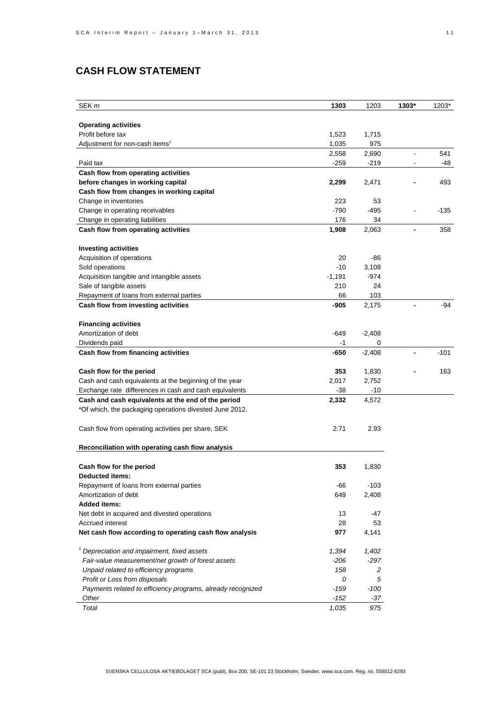# **CASH FLOW STATEMENT**

| SEK m                                                       | 1303     | 1203     | 1303*          | 1203*  |
|-------------------------------------------------------------|----------|----------|----------------|--------|
|                                                             |          |          |                |        |
| <b>Operating activities</b>                                 |          |          |                |        |
| Profit before tax                                           | 1,523    | 1,715    |                |        |
| Adjustment for non-cash items <sup>1</sup>                  | 1,035    | 975      |                |        |
|                                                             | 2,558    | 2,690    |                | 541    |
| Paid tax                                                    | $-259$   | $-219$   |                | -48    |
| Cash flow from operating activities                         |          |          |                |        |
| before changes in working capital                           | 2,299    | 2,471    |                | 493    |
| Cash flow from changes in working capital                   |          |          |                |        |
| Change in inventories                                       | 223      | 53       |                |        |
| Change in operating receivables                             | $-790$   | $-495$   |                | $-135$ |
| Change in operating liabilities                             | 176      | 34       |                |        |
| Cash flow from operating activities                         | 1,908    | 2,063    | $\blacksquare$ | 358    |
|                                                             |          |          |                |        |
| <b>Investing activities</b>                                 |          |          |                |        |
| Acquisition of operations                                   | 20       | -86      |                |        |
| Sold operations                                             | $-10$    | 3,108    |                |        |
| Acquisition tangible and intangible assets                  | $-1,191$ | $-974$   |                |        |
| Sale of tangible assets                                     | 210      | 24       |                |        |
| Repayment of loans from external parties                    | 66       | 103      |                |        |
| Cash flow from investing activities                         | -905     | 2,175    |                | -94    |
|                                                             |          |          |                |        |
| <b>Financing activities</b>                                 |          |          |                |        |
| Amortization of debt                                        | -649     | $-2,408$ |                |        |
| Dividends paid                                              | -1       | 0        |                |        |
| Cash flow from financing activities                         | -650     | $-2,408$ |                | $-101$ |
|                                                             |          |          |                |        |
| Cash flow for the period                                    | 353      | 1,830    |                | 163    |
| Cash and cash equivalents at the beginning of the year      | 2,017    | 2,752    |                |        |
| Exchange rate differences in cash and cash equivalents      | -38      | $-10$    |                |        |
| Cash and cash equivalents at the end of the period          | 2,332    | 4,572    |                |        |
| *Of which, the packaging operations divested June 2012.     |          |          |                |        |
|                                                             |          |          |                |        |
| Cash flow from operating activities per share, SEK          | 2.71     | 2.93     |                |        |
|                                                             |          |          |                |        |
| Reconciliation with operating cash flow analysis            |          |          |                |        |
|                                                             |          |          |                |        |
| Cash flow for the period                                    | 353      | 1,830    |                |        |
| <b>Deducted items:</b>                                      |          |          |                |        |
| Repayment of loans from external parties                    | -66      | $-103$   |                |        |
| Amortization of debt                                        | 649      | 2,408    |                |        |
| <b>Added items:</b>                                         |          |          |                |        |
| Net debt in acquired and divested operations                | 13       | -47      |                |        |
| Accrued interest                                            | 28       | 53       |                |        |
| Net cash flow according to operating cash flow analysis     | 977      | 4,141    |                |        |
|                                                             |          |          |                |        |
| <sup>1</sup> Depreciation and impairment, fixed assets      | 1,394    | 1,402    |                |        |
| Fair-value measurement/net growth of forest assets          | $-206$   | $-297$   |                |        |
| Unpaid related to efficiency programs                       | 158      | 2        |                |        |
| Profit or Loss from disposals                               | 0        | 5        |                |        |
| Payments related to efficiency programs, already recognized | -159     | $-100$   |                |        |
| Other                                                       | $-152$   | $-37$    |                |        |
| Total                                                       | 1,035    | 975      |                |        |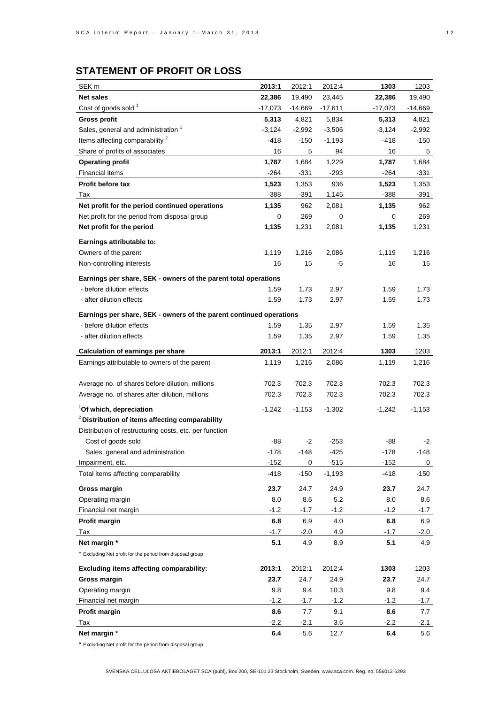| SEK <sub>m</sub>                                                    | 2013:1   | 2012:1      | 2012:4    | 1303      | 1203      |
|---------------------------------------------------------------------|----------|-------------|-----------|-----------|-----------|
| <b>Net sales</b>                                                    | 22,386   | 19,490      | 23,445    | 22,386    | 19,490    |
| Cost of goods sold 1                                                | -17,073  | $-14,669$   | $-17,611$ | $-17,073$ | $-14,669$ |
| <b>Gross profit</b>                                                 | 5,313    | 4,821       | 5,834     | 5,313     | 4,821     |
| Sales, general and administration <sup>1</sup>                      | $-3,124$ | $-2,992$    | $-3,506$  | $-3,124$  | $-2,992$  |
| Items affecting comparability <sup>2</sup>                          | -418     | $-150$      | $-1,193$  | -418      | $-150$    |
| Share of profits of associates                                      | 16       | 5           | 94        | 16        | 5         |
| <b>Operating profit</b>                                             | 1,787    | 1,684       | 1,229     | 1,787     | 1,684     |
| <b>Financial items</b>                                              | -264     | $-331$      | $-293$    | -264      | $-331$    |
| <b>Profit before tax</b>                                            | 1,523    | 1,353       | 936       | 1,523     | 1,353     |
| Tax                                                                 | $-388$   | $-391$      | 1,145     | $-388$    | -391      |
| Net profit for the period continued operations                      | 1,135    | 962         | 2,081     | 1,135     | 962       |
| Net profit for the period from disposal group                       | 0        | 269         | 0         | 0         | 269       |
| Net profit for the period                                           | 1,135    | 1,231       | 2,081     | 1,135     | 1,231     |
|                                                                     |          |             |           |           |           |
| Earnings attributable to:<br>Owners of the parent                   | 1,119    |             |           | 1,119     |           |
|                                                                     |          | 1,216<br>15 | 2,086     | 16        | 1,216     |
| Non-controlling interests                                           | 16       |             | -5        |           | 15        |
| Earnings per share, SEK - owners of the parent total operations     |          |             |           |           |           |
| - before dilution effects                                           | 1.59     | 1.73        | 2.97      | 1.59      | 1.73      |
| - after dilution effects                                            | 1.59     | 1.73        | 2.97      | 1.59      | 1.73      |
| Earnings per share, SEK - owners of the parent continued operations |          |             |           |           |           |
| - before dilution effects                                           | 1.59     | 1.35        | 2.97      | 1.59      | 1.35      |
| - after dilution effects                                            | 1.59     | 1.35        | 2.97      | 1.59      | 1.35      |
|                                                                     |          |             |           |           |           |
| <b>Calculation of earnings per share</b>                            | 2013:1   | 2012:1      | 2012:4    | 1303      | 1203      |
| Earnings attributable to owners of the parent                       | 1,119    | 1,216       | 2,086     | 1,119     | 1,216     |
|                                                                     |          |             |           |           |           |
| Average no. of shares before dilution, millions                     | 702.3    | 702.3       | 702.3     | 702.3     | 702.3     |
| Average no. of shares after dilution, millions                      | 702.3    | 702.3       | 702.3     | 702.3     | 702.3     |
| <sup>1</sup> Of which, depreciation                                 | -1,242   | $-1,153$    | $-1,302$  | $-1,242$  | $-1,153$  |
| <sup>2</sup> Distribution of items affecting comparability          |          |             |           |           |           |
| Distribution of restructuring costs, etc. per function              |          |             |           |           |           |
| Cost of goods sold                                                  | -88      | $-2$        | $-253$    | -88       | $-2$      |
| Sales, general and administration                                   | $-178$   | $-148$      | -425      | $-178$    | -148      |
| Impairment, etc.                                                    | $-152$   | 0           | $-515$    | $-152$    | 0         |
| Total items affecting comparability                                 | $-418$   | $-150$      | $-1,193$  | $-418$    | $-150$    |
| Gross margin                                                        | 23.7     | 24.7        | 24.9      | 23.7      | 24.7      |
| Operating margin                                                    | 8.0      | 8.6         | 5.2       | 8.0       | 8.6       |
| Financial net margin                                                | -1.2     | $-1.7$      | $-1.2$    | $-1.2$    | $-1.7$    |
| Profit margin                                                       | 6.8      | 6.9         | 4.0       | 6.8       | 6.9       |
| Tax                                                                 | $-1.7$   | $-2.0$      | 4.9       | $-1.7$    | $-2.0$    |
| Net margin *                                                        | 5.1      | 4.9         | 8.9       | 5.1       | 4.9       |
| * Excluding Net profit for the period from disposal group           |          |             |           |           |           |
|                                                                     |          |             |           |           |           |
| Excluding items affecting comparability:                            | 2013:1   | 2012:1      | 2012:4    | 1303      | 1203      |
| Gross margin                                                        | 23.7     | 24.7        | 24.9      | 23.7      | 24.7      |
| Operating margin                                                    | 9.8      | 9.4         | 10.3      | 9.8       | 9.4       |
| Financial net margin                                                | $-1.2$   | $-1.7$      | $-1.2$    | $-1.2$    | $-1.7$    |
| Profit margin                                                       | 8.6      | 7.7         | 9.1       | 8.6       | 7.7       |
| Tax                                                                 | $-2.2$   | -2.1        | 3.6       | $-2.2$    | -2.1      |
| Net margin *                                                        | 6.4      | 5.6         | 12.7      | 6.4       | 5.6       |

\* Excluding Net profit for the period from disposal group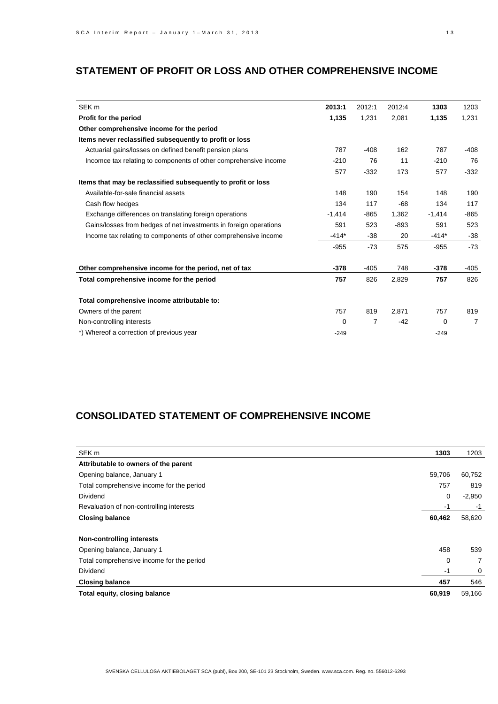# **STATEMENT OF PROFIT OR LOSS AND OTHER COMPREHENSIVE INCOME**

| SEK <sub>m</sub>                                                  | 2013:1   | 2012:1         | 2012:4 | 1303        | 1203   |
|-------------------------------------------------------------------|----------|----------------|--------|-------------|--------|
| Profit for the period                                             | 1,135    | 1,231          | 2,081  | 1,135       | 1,231  |
| Other comprehensive income for the period                         |          |                |        |             |        |
| Items never reclassified subsequently to profit or loss           |          |                |        |             |        |
| Actuarial gains/losses on defined benefit pension plans           | 787      | $-408$         | 162    | 787         | -408   |
| Incomce tax relating to components of other comprehensive income  | $-210$   | 76             | 11     | $-210$      | 76     |
|                                                                   | 577      | $-332$         | 173    | 577         | $-332$ |
| Items that may be reclassified subsequently to profit or loss     |          |                |        |             |        |
| Available-for-sale financial assets                               | 148      | 190            | 154    | 148         | 190    |
| Cash flow hedges                                                  | 134      | 117            | $-68$  | 134         | 117    |
| Exchange differences on translating foreign operations            | $-1,414$ | $-865$         | 1,362  | $-1,414$    | $-865$ |
| Gains/losses from hedges of net investments in foreign operations | 591      | 523            | $-893$ | 591         | 523    |
| Income tax relating to components of other comprehensive income   | $-414*$  | $-38$          | 20     | $-414*$     | -38    |
|                                                                   | $-955$   | $-73$          | 575    | $-955$      | $-73$  |
| Other comprehensive income for the period, net of tax             | $-378$   | $-405$         | 748    | $-378$      | $-405$ |
| Total comprehensive income for the period                         | 757      | 826            | 2,829  | 757         | 826    |
| Total comprehensive income attributable to:                       |          |                |        |             |        |
| Owners of the parent                                              | 757      | 819            | 2,871  | 757         | 819    |
| Non-controlling interests                                         | 0        | $\overline{7}$ | $-42$  | $\mathbf 0$ | 7      |
| *) Whereof a correction of previous year                          | $-249$   |                |        | $-249$      |        |

# **CONSOLIDATED STATEMENT OF COMPREHENSIVE INCOME**

| SEK m                                     | 1303   | 1203     |
|-------------------------------------------|--------|----------|
| Attributable to owners of the parent      |        |          |
| Opening balance, January 1                | 59,706 | 60,752   |
| Total comprehensive income for the period | 757    | 819      |
| <b>Dividend</b>                           | 0      | $-2,950$ |
| Revaluation of non-controlling interests  | -1     | $-1$     |
| <b>Closing balance</b>                    | 60,462 | 58,620   |
| <b>Non-controlling interests</b>          |        |          |
| Opening balance, January 1                | 458    | 539      |
| Total comprehensive income for the period | 0      | 7        |
| <b>Dividend</b>                           | -1     | 0        |
| <b>Closing balance</b>                    | 457    | 546      |
| Total equity, closing balance             | 60,919 | 59,166   |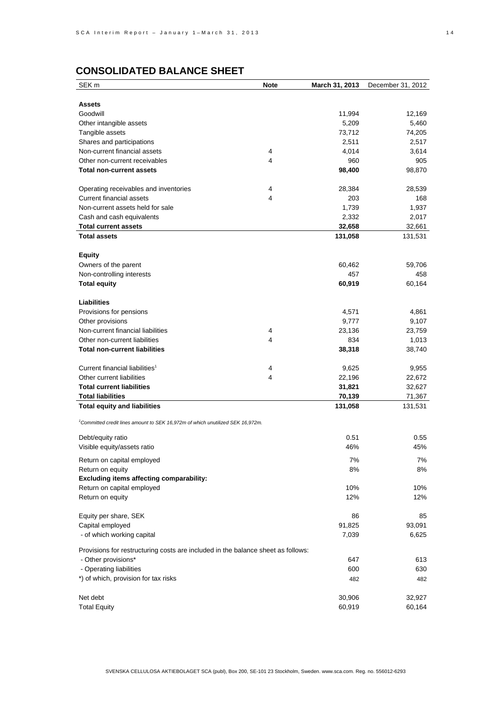# **CONSOLIDATED BALANCE SHEET**

| SEK <sub>m</sub>                                                                           | <b>Note</b> | March 31, 2013 | December 31, 2012 |
|--------------------------------------------------------------------------------------------|-------------|----------------|-------------------|
|                                                                                            |             |                |                   |
| <b>Assets</b>                                                                              |             |                |                   |
| Goodwill                                                                                   |             | 11,994         | 12,169            |
| Other intangible assets                                                                    |             | 5,209          | 5,460             |
| Tangible assets                                                                            |             | 73,712         | 74,205            |
| Shares and participations                                                                  |             | 2,511          | 2,517             |
| Non-current financial assets                                                               | 4           | 4,014          | 3,614             |
| Other non-current receivables                                                              | 4           | 960            | 905               |
| <b>Total non-current assets</b>                                                            |             | 98,400         | 98,870            |
| Operating receivables and inventories                                                      | 4           | 28,384         | 28,539            |
| <b>Current financial assets</b>                                                            | 4           | 203            | 168               |
| Non-current assets held for sale                                                           |             | 1,739          | 1,937             |
| Cash and cash equivalents                                                                  |             | 2,332          | 2,017             |
| <b>Total current assets</b>                                                                |             | 32,658         | 32,661            |
| <b>Total assets</b>                                                                        |             | 131,058        | 131,531           |
|                                                                                            |             |                |                   |
| <b>Equity</b>                                                                              |             |                |                   |
| Owners of the parent                                                                       |             | 60,462         | 59,706            |
| Non-controlling interests                                                                  |             | 457            | 458               |
| <b>Total equity</b>                                                                        |             | 60,919         | 60,164            |
|                                                                                            |             |                |                   |
| <b>Liabilities</b>                                                                         |             |                |                   |
| Provisions for pensions                                                                    |             | 4,571          | 4,861             |
| Other provisions                                                                           |             | 9,777          | 9,107             |
| Non-current financial liabilities                                                          | 4<br>4      | 23,136         | 23,759            |
| Other non-current liabilities<br><b>Total non-current liabilities</b>                      |             | 834<br>38,318  | 1,013<br>38,740   |
|                                                                                            |             |                |                   |
| Current financial liabilities <sup>1</sup>                                                 | 4           | 9,625          | 9,955             |
| Other current liabilities                                                                  | 4           | 22,196         | 22,672            |
| <b>Total current liabilities</b>                                                           |             | 31,821         | 32,627            |
| <b>Total liabilities</b>                                                                   |             | 70,139         | 71,367            |
| <b>Total equity and liabilities</b>                                                        |             | 131,058        | 131,531           |
|                                                                                            |             |                |                   |
| <sup>1</sup> Committed credit lines amount to SEK 16,972m of which unutilized SEK 16,972m. |             |                |                   |
| Debt/equity ratio                                                                          |             | 0.51           | 0.55              |
| Visible equity/assets ratio                                                                |             | 46%            | 45%               |
| Return on capital employed                                                                 |             | 7%             | 7%                |
| Return on equity                                                                           |             | 8%             | 8%                |
| <b>Excluding items affecting comparability:</b>                                            |             |                |                   |
| Return on capital employed                                                                 |             | 10%            | 10%               |
| Return on equity                                                                           |             | 12%            | 12%               |
|                                                                                            |             |                |                   |
| Equity per share, SEK                                                                      |             | 86             | 85                |
| Capital employed                                                                           |             | 91,825         | 93,091            |
| - of which working capital                                                                 |             | 7,039          | 6,625             |
| Provisions for restructuring costs are included in the balance sheet as follows:           |             |                |                   |
| - Other provisions*                                                                        |             | 647            | 613               |
| - Operating liabilities                                                                    |             | 600            | 630               |
| *) of which, provision for tax risks                                                       |             | 482            | 482               |
|                                                                                            |             |                |                   |
| Net debt                                                                                   |             | 30,906         | 32,927            |
| <b>Total Equity</b>                                                                        |             | 60,919         | 60,164            |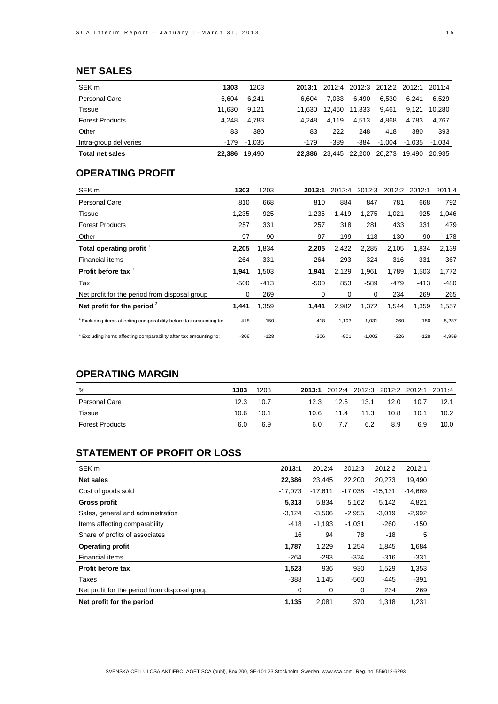# **NET SALES**

| SEK <sub>m</sub>       | 1303   | 1203   | 2013:1 |        | 2012:4 2012:3 | 2012:2 | 2012:1 | 2011:4   |
|------------------------|--------|--------|--------|--------|---------------|--------|--------|----------|
| Personal Care          | 6.604  | 6.241  | 6.604  | 7.033  | 6.490         | 6.530  | 6.241  | 6.529    |
| Tissue                 | 11.630 | 9.121  | 11.630 | 12.460 | 11.333        | 9.461  | 9.121  | 10.280   |
| <b>Forest Products</b> | 4.248  | 4.783  | 4.248  | 4.119  | 4.513         | 4.868  | 4.783  | 4.767    |
| Other                  | 83     | 380    | 83     | 222    | 248           | 418    | 380    | 393      |
| Intra-group deliveries | -179   | -1.035 | $-179$ | $-389$ | -384          | -1.004 | -1.035 | $-1.034$ |
| <b>Total net sales</b> | 22.386 | 19.490 | 22.386 | 23.445 | 22,200        | 20.273 | 19.490 | 20.935   |

## **OPERATING PROFIT**

| SEK <sub>m</sub>                                                              | 1303   | 1203   | 2013:1 | 2012:4   | 2012:3   | 2012:2 | 2012:1 | 2011:4   |
|-------------------------------------------------------------------------------|--------|--------|--------|----------|----------|--------|--------|----------|
| <b>Personal Care</b>                                                          | 810    | 668    | 810    | 884      | 847      | 781    | 668    | 792      |
| Tissue                                                                        | 1,235  | 925    | 1,235  | 1,419    | 1,275    | 1,021  | 925    | 1,046    |
| <b>Forest Products</b>                                                        | 257    | 331    | 257    | 318      | 281      | 433    | 331    | 479      |
| Other                                                                         | $-97$  | -90    | $-97$  | $-199$   | $-118$   | $-130$ | -90    | -178     |
| Total operating profit <sup>1</sup>                                           | 2,205  | 1,834  | 2,205  | 2,422    | 2,285    | 2,105  | 1,834  | 2,139    |
| <b>Financial items</b>                                                        | $-264$ | $-331$ | $-264$ | $-293$   | $-324$   | $-316$ | $-331$ | $-367$   |
| Profit before tax <sup>1</sup>                                                | 1,941  | 1,503  | 1,941  | 2,129    | 1,961    | 1,789  | 1,503  | 1,772    |
| Tax                                                                           | $-500$ | $-413$ | $-500$ | 853      | $-589$   | $-479$ | $-413$ | -480     |
| Net profit for the period from disposal group                                 | 0      | 269    | 0      | 0        | 0        | 234    | 269    | 265      |
| Net profit for the period <sup>2</sup>                                        | 1,441  | 1,359  | 1,441  | 2,982    | 1,372    | 1,544  | 1,359  | 1,557    |
| <sup>1</sup> Excluding items affecting comparability before tax amounting to: | $-418$ | $-150$ | -418   | $-1,193$ | $-1,031$ | $-260$ | $-150$ | $-5,287$ |
| <sup>2</sup> Excluding items affecting comparability after tax amounting to:  | $-306$ | $-128$ | $-306$ | $-901$   | $-1,002$ | $-226$ | $-128$ | $-4,959$ |

## **OPERATING MARGIN**

| %                      | 1303 | 1203      |      |      |      | 2013:1 2012:4 2012:3 2012:2 2012:1 2011:4 |      |                   |
|------------------------|------|-----------|------|------|------|-------------------------------------------|------|-------------------|
| Personal Care          |      | 12.3 10.7 | 12.3 | 12.6 | 13.1 | 12.0                                      | 10.7 | 12.1              |
| Tissue                 | 10.6 | 10.1      | 10.6 | 11.4 | 11.3 | 10.8                                      | 10.1 | 10.2 <sub>1</sub> |
| <b>Forest Products</b> | 6.0  | 6.9       | 6.0  | 7.7  | 6.2  | 8.9                                       | 6.9  | 10.0              |

# **STATEMENT OF PROFIT OR LOSS**

| SEK <sub>m</sub>                              | 2013:1    | 2012:4    | 2012:3    | 2012:2    | 2012:1    |
|-----------------------------------------------|-----------|-----------|-----------|-----------|-----------|
| <b>Net sales</b>                              | 22,386    | 23,445    | 22,200    | 20,273    | 19,490    |
| Cost of goods sold                            | $-17.073$ | $-17,611$ | $-17,038$ | $-15,131$ | $-14,669$ |
| <b>Gross profit</b>                           | 5,313     | 5,834     | 5,162     | 5,142     | 4,821     |
| Sales, general and administration             | $-3,124$  | $-3,506$  | $-2,955$  | $-3,019$  | $-2,992$  |
| Items affecting comparability                 | $-418$    | $-1,193$  | $-1,031$  | $-260$    | $-150$    |
| Share of profits of associates                | 16        | 94        | 78        | $-18$     | 5         |
| <b>Operating profit</b>                       | 1,787     | 1,229     | 1,254     | 1,845     | 1,684     |
| Financial items                               | $-264$    | $-293$    | $-324$    | $-316$    | $-331$    |
| Profit before tax                             | 1,523     | 936       | 930       | 1,529     | 1,353     |
| Taxes                                         | $-388$    | 1,145     | $-560$    | $-445$    | $-391$    |
| Net profit for the period from disposal group | 0         | 0         | 0         | 234       | 269       |
| Net profit for the period                     | 1.135     | 2.081     | 370       | 1.318     | 1.231     |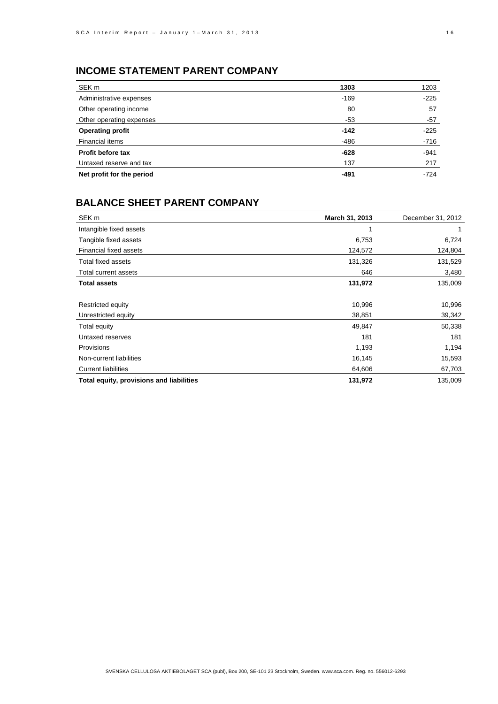# **INCOME STATEMENT PARENT COMPANY**

| SEK <sub>m</sub>          | 1303   | 1203   |
|---------------------------|--------|--------|
| Administrative expenses   | $-169$ | $-225$ |
| Other operating income    | 80     | 57     |
| Other operating expenses  | -53    | -57    |
| <b>Operating profit</b>   | $-142$ | $-225$ |
| Financial items           | -486   | $-716$ |
| Profit before tax         | $-628$ | $-941$ |
| Untaxed reserve and tax   | 137    | 217    |
| Net profit for the period | $-491$ | $-724$ |

## **BALANCE SHEET PARENT COMPANY**

| SEK <sub>m</sub>                         | March 31, 2013 | December 31, 2012 |
|------------------------------------------|----------------|-------------------|
| Intangible fixed assets                  |                |                   |
| Tangible fixed assets                    | 6,753          | 6,724             |
| Financial fixed assets                   | 124,572        | 124,804           |
| <b>Total fixed assets</b>                | 131,326        | 131,529           |
| Total current assets                     | 646            | 3,480             |
| <b>Total assets</b>                      | 131,972        | 135,009           |
|                                          |                |                   |
| Restricted equity                        | 10,996         | 10,996            |
| Unrestricted equity                      | 38,851         | 39,342            |
| Total equity                             | 49,847         | 50,338            |
| Untaxed reserves                         | 181            | 181               |
| Provisions                               | 1,193          | 1,194             |
| Non-current liabilities                  | 16,145         | 15,593            |
| <b>Current liabilities</b>               | 64,606         | 67,703            |
| Total equity, provisions and liabilities | 131,972        | 135,009           |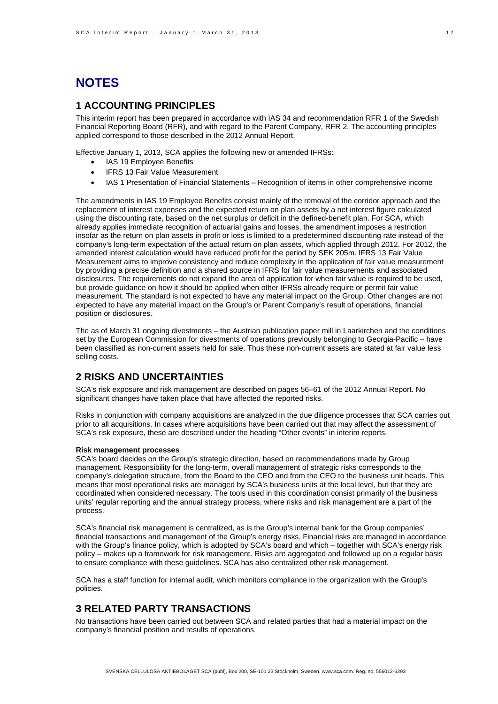# **NOTES**

## **1 ACCOUNTING PRINCIPLES**

This interim report has been prepared in accordance with IAS 34 and recommendation RFR 1 of the Swedish Financial Reporting Board (RFR), and with regard to the Parent Company, RFR 2. The accounting principles applied correspond to those described in the 2012 Annual Report.

Effective January 1, 2013, SCA applies the following new or amended IFRSs:

- IAS 19 Employee Benefits
- IFRS 13 Fair Value Measurement
- IAS 1 Presentation of Financial Statements Recognition of items in other comprehensive income

The amendments in IAS 19 Employee Benefits consist mainly of the removal of the corridor approach and the replacement of interest expenses and the expected return on plan assets by a net interest figure calculated using the discounting rate, based on the net surplus or deficit in the defined-benefit plan. For SCA, which already applies immediate recognition of actuarial gains and losses, the amendment imposes a restriction insofar as the return on plan assets in profit or loss is limited to a predetermined discounting rate instead of the company's long-term expectation of the actual return on plan assets, which applied through 2012. For 2012, the amended interest calculation would have reduced profit for the period by SEK 205m. IFRS 13 Fair Value Measurement aims to improve consistency and reduce complexity in the application of fair value measurement by providing a precise definition and a shared source in IFRS for fair value measurements and associated disclosures. The requirements do not expand the area of application for when fair value is required to be used, but provide guidance on how it should be applied when other IFRSs already require or permit fair value measurement. The standard is not expected to have any material impact on the Group. Other changes are not expected to have any material impact on the Group's or Parent Company's result of operations, financial position or disclosures.

The as of March 31 ongoing divestments – the Austrian publication paper mill in Laarkirchen and the conditions set by the European Commission for divestments of operations previously belonging to Georgia-Pacific – have been classified as non-current assets held for sale. Thus these non-current assets are stated at fair value less selling costs.

### **2 RISKS AND UNCERTAINTIES**

SCA's risk exposure and risk management are described on pages 56–61 of the 2012 Annual Report. No significant changes have taken place that have affected the reported risks.

Risks in conjunction with company acquisitions are analyzed in the due diligence processes that SCA carries out prior to all acquisitions. In cases where acquisitions have been carried out that may affect the assessment of SCA's risk exposure, these are described under the heading "Other events" in interim reports.

#### **Risk management processes**

SCA's board decides on the Group's strategic direction, based on recommendations made by Group management. Responsibility for the long-term, overall management of strategic risks corresponds to the company's delegation structure, from the Board to the CEO and from the CEO to the business unit heads. This means that most operational risks are managed by SCA's business units at the local level, but that they are coordinated when considered necessary. The tools used in this coordination consist primarily of the business units' regular reporting and the annual strategy process, where risks and risk management are a part of the process.

SCA's financial risk management is centralized, as is the Group's internal bank for the Group companies' financial transactions and management of the Group's energy risks. Financial risks are managed in accordance with the Group's finance policy, which is adopted by SCA's board and which – together with SCA's energy risk policy – makes up a framework for risk management. Risks are aggregated and followed up on a regular basis to ensure compliance with these guidelines. SCA has also centralized other risk management.

SCA has a staff function for internal audit, which monitors compliance in the organization with the Group's policies.

## **3 RELATED PARTY TRANSACTIONS**

No transactions have been carried out between SCA and related parties that had a material impact on the company's financial position and results of operations.